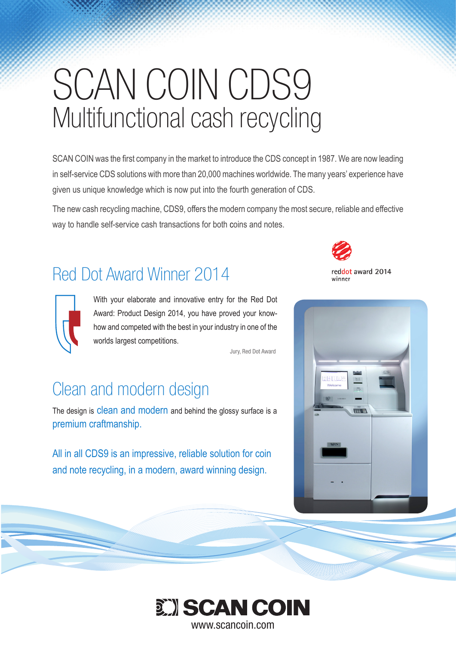# SCAN COIN CDS9 Multifunctional cash recycling

SCAN COIN was the first company in the market to introduce the CDS concept in 1987. We are now leading in self-service CDS solutions with more than 20,000 machines worldwide. The many years' experience have given us unique knowledge which is now put into the fourth generation of CDS.

The new cash recycling machine, CDS9, offers the modern company the most secure, reliable and effective way to handle self-service cash transactions for both coins and notes.

# Red Dot Award Winner 2014



With your elaborate and innovative entry for the Red Dot Award: Product Design 2014, you have proved your knowhow and competed with the best in your industry in one of the worlds largest competitions.

Jury, Red Dot Award

# Clean and modern design

The design is clean and modern and behind the glossy surface is a premium craftmanship.

All in all CDS9 is an impressive, reliable solution for coin and note recycling, in a modern, award winning design.